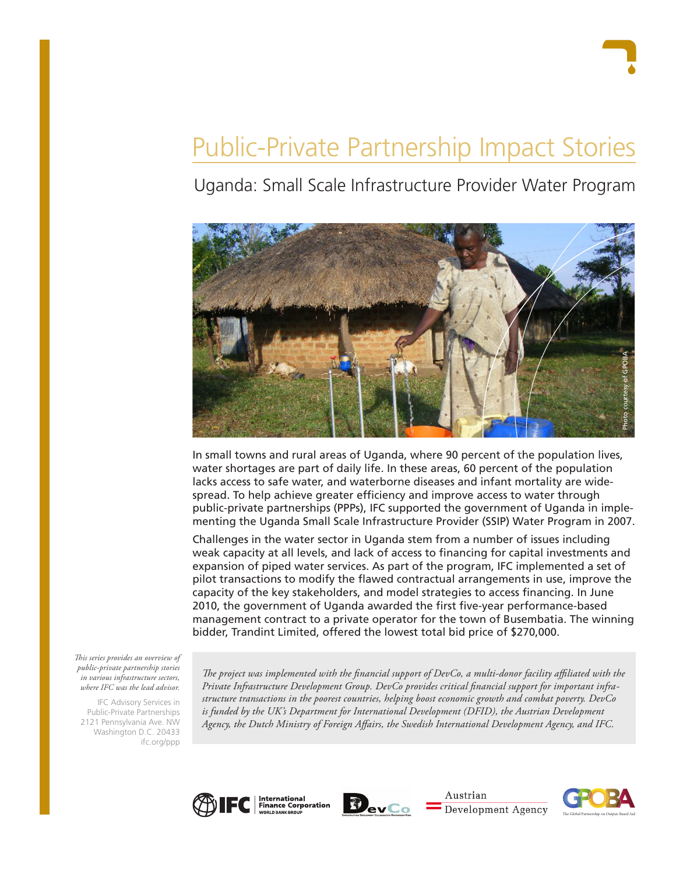# Public-Private Partnership Impact Stories

Uganda: Small Scale Infrastructure Provider Water Program



In small towns and rural areas of Uganda, where 90 percent of the population lives, water shortages are part of daily life. In these areas, 60 percent of the population lacks access to safe water, and waterborne diseases and infant mortality are widespread. To help achieve greater efficiency and improve access to water through public-private partnerships (PPPs), IFC supported the government of Uganda in implementing the Uganda Small Scale Infrastructure Provider (SSIP) Water Program in 2007.

Challenges in the water sector in Uganda stem from a number of issues including weak capacity at all levels, and lack of access to financing for capital investments and expansion of piped water services. As part of the program, IFC implemented a set of pilot transactions to modify the flawed contractual arrangements in use, improve the capacity of the key stakeholders, and model strategies to access financing. In June 2010, the government of Uganda awarded the first five-year performance-based management contract to a private operator for the town of Busembatia. The winning bidder, Trandint Limited, offered the lowest total bid price of \$270,000.

*This series provides an overview of public-private partnership stories in various infrastructure sectors, where IFC was the lead advisor.* 

IFC Advisory Services in Public-Private Partnerships 2121 Pennsylvania Ave. NW Washington D.C. 20433 ifc.org/ppp

*The project was implemented with the financial support of DevCo, a multi-donor facility affiliated with the Private Infrastructure Development Group. DevCo provides critical financial support for important infrastructure transactions in the poorest countries, helping boost economic growth and combat poverty. DevCo*  is funded by the UK's Department for International Development (DFID), the Austrian Development *Agency, the Dutch Ministry of Foreign Affairs, the Swedish International Development Agency, and IFC.*





Austrian Development Agency